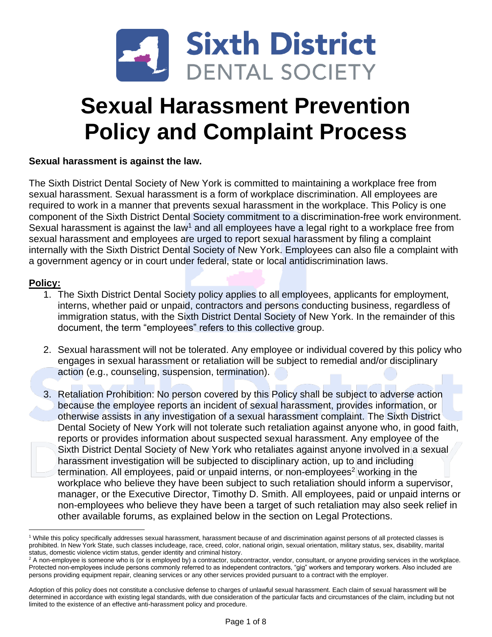

# **Sexual Harassment Prevention Policy and Complaint Process**

### **Sexual harassment is against the law.**

The Sixth District Dental Society of New York is committed to maintaining a workplace free from sexual harassment. Sexual harassment is a form of workplace discrimination. All employees are required to work in a manner that prevents sexual harassment in the workplace. This Policy is one component of the Sixth District Dental Society commitment to a discrimination-free work environment. Sexual harassment is against the law<sup>1</sup> and all employees have a legal right to a workplace free from sexual harassment and employees are urged to report sexual harassment by filing a complaint internally with the Sixth District Dental Society of New York. Employees can also file a complaint with a government agency or in court under federal, state or local antidiscrimination laws.

#### **Policy:**

- 1. The Sixth District Dental Society policy applies to all employees, applicants for employment, interns, whether paid or unpaid, contractors and persons conducting business, regardless of immigration status, with the Sixth District Dental Society of New York. In the remainder of this document, the term "employees" refers to this collective group.
- 2. Sexual harassment will not be tolerated. Any employee or individual covered by this policy who engages in sexual harassment or retaliation will be subject to remedial and/or disciplinary action (e.g., counseling, suspension, termination).
- 3. Retaliation Prohibition: No person covered by this Policy shall be subject to adverse action because the employee reports an incident of sexual harassment, provides information, or otherwise assists in any investigation of a sexual harassment complaint. The Sixth District Dental Society of New York will not tolerate such retaliation against anyone who, in good faith, reports or provides information about suspected sexual harassment. Any employee of the Sixth District Dental Society of New York who retaliates against anyone involved in a sexual harassment investigation will be subjected to disciplinary action, up to and including termination. All employees, paid or unpaid interns, or non-employees<sup>2</sup> working in the workplace who believe they have been subject to such retaliation should inform a supervisor, manager, or the Executive Director, Timothy D. Smith. All employees, paid or unpaid interns or non-employees who believe they have been a target of such retaliation may also seek relief in other available forums, as explained below in the section on Legal Protections.

<sup>&</sup>lt;sup>1</sup> While this policy specifically addresses sexual harassment, harassment because of and discrimination against persons of all protected classes is prohibited. In New York State, such classes includeage, race, creed, color, national origin, sexual orientation, military status, sex, disability, marital status, domestic violence victim status, gender identity and criminal history.

<sup>&</sup>lt;sup>2</sup> A non-employee is someone who is (or is employed by) a contractor, subcontractor, vendor, consultant, or anyone providing services in the workplace. Protected non-employees include persons commonly referred to as independent contractors, "gig" workers and temporary workers. Also included are persons providing equipment repair, cleaning services or any other services provided pursuant to a contract with the employer.

Adoption of this policy does not constitute a conclusive defense to charges of unlawful sexual harassment. Each claim of sexual harassment will be determined in accordance with existing legal standards, with due consideration of the particular facts and circumstances of the claim, including but not limited to the existence of an effective anti-harassment policy and procedure.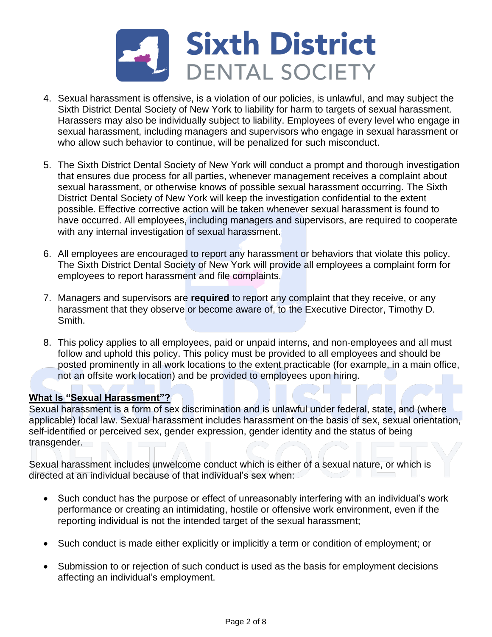

- 4. Sexual harassment is offensive, is a violation of our policies, is unlawful, and may subject the Sixth District Dental Society of New York to liability for harm to targets of sexual harassment. Harassers may also be individually subject to liability. Employees of every level who engage in sexual harassment, including managers and supervisors who engage in sexual harassment or who allow such behavior to continue, will be penalized for such misconduct.
- 5. The Sixth District Dental Society of New York will conduct a prompt and thorough investigation that ensures due process for all parties, whenever management receives a complaint about sexual harassment, or otherwise knows of possible sexual harassment occurring. The Sixth District Dental Society of New York will keep the investigation confidential to the extent possible. Effective corrective action will be taken whenever sexual harassment is found to have occurred. All employees, including managers and supervisors, are required to cooperate with any internal investigation of sexual harassment.
- 6. All employees are encouraged to report any harassment or behaviors that violate this policy. The Sixth District Dental Society of New York will provide all employees a complaint form for employees to report harassment and file complaints.
- 7. Managers and supervisors are **required** to report any complaint that they receive, or any harassment that they observe or become aware of, to the Executive Director, Timothy D. Smith.
- 8. This policy applies to all employees, paid or unpaid interns, and non-employees and all must follow and uphold this policy. This policy must be provided to all employees and should be posted prominently in all work locations to the extent practicable (for example, in a main office, not an offsite work location) and be provided to employees upon hiring.

# **What Is "Sexual Harassment"?**

Sexual harassment is a form of sex discrimination and is unlawful under federal, state, and (where applicable) local law. Sexual harassment includes harassment on the basis of sex, sexual orientation, self-identified or perceived sex, gender expression, gender identity and the status of being transgender.

Sexual harassment includes unwelcome conduct which is either of a sexual nature, or which is directed at an individual because of that individual's sex when:

- Such conduct has the purpose or effect of unreasonably interfering with an individual's work performance or creating an intimidating, hostile or offensive work environment, even if the reporting individual is not the intended target of the sexual harassment;
- Such conduct is made either explicitly or implicitly a term or condition of employment; or
- Submission to or rejection of such conduct is used as the basis for employment decisions affecting an individual's employment.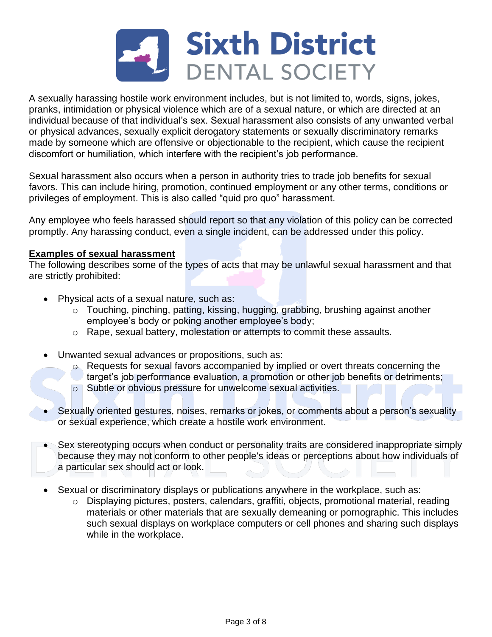

A sexually harassing hostile work environment includes, but is not limited to, words, signs, jokes, pranks, intimidation or physical violence which are of a sexual nature, or which are directed at an individual because of that individual's sex. Sexual harassment also consists of any unwanted verbal or physical advances, sexually explicit derogatory statements or sexually discriminatory remarks made by someone which are offensive or objectionable to the recipient, which cause the recipient discomfort or humiliation, which interfere with the recipient's job performance.

Sexual harassment also occurs when a person in authority tries to trade job benefits for sexual favors. This can include hiring, promotion, continued employment or any other terms, conditions or privileges of employment. This is also called "quid pro quo" harassment.

Any employee who feels harassed should report so that any violation of this policy can be corrected promptly. Any harassing conduct, even a single incident, can be addressed under this policy.

### **Examples of sexual harassment**

The following describes some of the types of acts that may be unlawful sexual harassment and that are strictly prohibited:

- Physical acts of a sexual nature, such as:
	- o Touching, pinching, patting, kissing, hugging, grabbing, brushing against another employee's body or poking another employee's body;
	- o Rape, sexual battery, molestation or attempts to commit these assaults.
- Unwanted sexual advances or propositions, such as:
	- o Requests for sexual favors accompanied by implied or overt threats concerning the target's job performance evaluation, a promotion or other job benefits or detriments;
	- o Subtle or obvious pressure for unwelcome sexual activities.
- Sexually oriented gestures, noises, remarks or jokes, or comments about a person's sexuality or sexual experience, which create a hostile work environment.
- Sex stereotyping occurs when conduct or personality traits are considered inappropriate simply because they may not conform to other people's ideas or perceptions about how individuals of a particular sex should act or look.
- Sexual or discriminatory displays or publications anywhere in the workplace, such as:
	- o Displaying pictures, posters, calendars, graffiti, objects, promotional material, reading materials or other materials that are sexually demeaning or pornographic. This includes such sexual displays on workplace computers or cell phones and sharing such displays while in the workplace.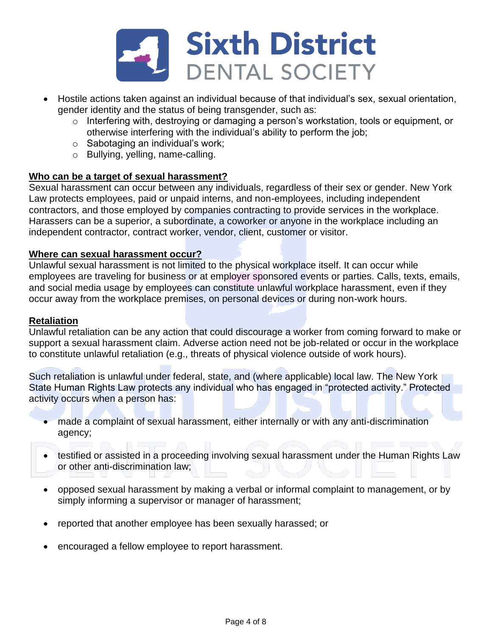

- Hostile actions taken against an individual because of that individual's sex, sexual orientation, gender identity and the status of being transgender, such as:
	- $\circ$  Interfering with, destroying or damaging a person's workstation, tools or equipment, or otherwise interfering with the individual's ability to perform the job;
	- $\circ$  Sabotaging an individual's work;
	- o Bullying, yelling, name-calling.

# **Who can be a target of sexual harassment?**

Sexual harassment can occur between any individuals, regardless of their sex or gender. New York Law protects employees, paid or unpaid interns, and non-employees, including independent contractors, and those employed by companies contracting to provide services in the workplace. Harassers can be a superior, a subordinate, a coworker or anyone in the workplace including an independent contractor, contract worker, vendor, client, customer or visitor.

# **Where can sexual harassment occur?**

Unlawful sexual harassment is not limited to the physical workplace itself. It can occur while employees are traveling for business or at employer sponsored events or parties. Calls, texts, emails, and social media usage by employees can constitute unlawful workplace harassment, even if they occur away from the workplace premises, on personal devices or during non-work hours.

### **Retaliation**

Unlawful retaliation can be any action that could discourage a worker from coming forward to make or support a sexual harassment claim. Adverse action need not be job-related or occur in the workplace to constitute unlawful retaliation (e.g., threats of physical violence outside of work hours).

Such retaliation is unlawful under federal, state, and (where applicable) local law. The New York State Human Rights Law protects any individual who has engaged in "protected activity." Protected activity occurs when a person has:

- made a complaint of sexual harassment, either internally or with any anti-discrimination agency;
- testified or assisted in a proceeding involving sexual harassment under the Human Rights Law or other anti-discrimination law;
- opposed sexual harassment by making a verbal or informal complaint to management, or by simply informing a supervisor or manager of harassment;
- reported that another employee has been sexually harassed; or
- encouraged a fellow employee to report harassment.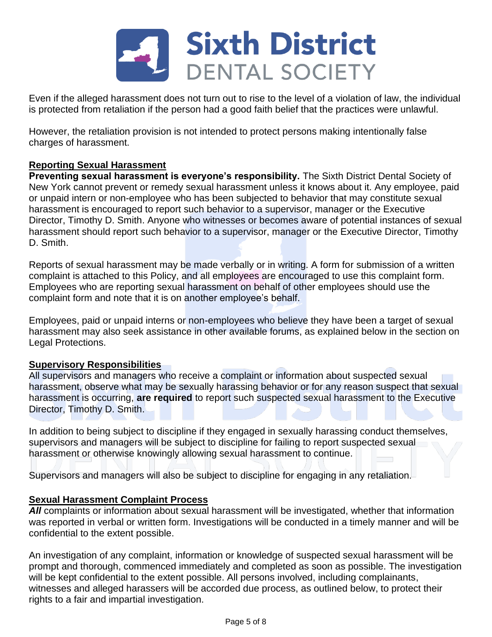

Even if the alleged harassment does not turn out to rise to the level of a violation of law, the individual is protected from retaliation if the person had a good faith belief that the practices were unlawful.

However, the retaliation provision is not intended to protect persons making intentionally false charges of harassment.

# **Reporting Sexual Harassment**

**Preventing sexual harassment is everyone's responsibility.** The Sixth District Dental Society of New York cannot prevent or remedy sexual harassment unless it knows about it. Any employee, paid or unpaid intern or non-employee who has been subjected to behavior that may constitute sexual harassment is encouraged to report such behavior to a supervisor, manager or the Executive Director, Timothy D. Smith. Anyone who witnesses or becomes aware of potential instances of sexual harassment should report such behavior to a supervisor, manager or the Executive Director, Timothy D. Smith.

Reports of sexual harassment may be made verbally or in writing. A form for submission of a written complaint is attached to this Policy, and all employees are encouraged to use this complaint form. Employees who are reporting sexual harassment on behalf of other employees should use the complaint form and note that it is on another employee's behalf.

Employees, paid or unpaid interns or non-employees who believe they have been a target of sexual harassment may also seek assistance in other available forums, as explained below in the section on Legal Protections.

### **Supervisory Responsibilities**

All supervisors and managers who receive a complaint or information about suspected sexual harassment, observe what may be sexually harassing behavior or for any reason suspect that sexual harassment is occurring, **are required** to report such suspected sexual harassment to the Executive Director, Timothy D. Smith.

In addition to being subject to discipline if they engaged in sexually harassing conduct themselves, supervisors and managers will be subject to discipline for failing to report suspected sexual harassment or otherwise knowingly allowing sexual harassment to continue.

Supervisors and managers will also be subject to discipline for engaging in any retaliation.

### **Sexual Harassment Complaint Process**

**All** complaints or information about sexual harassment will be investigated, whether that information was reported in verbal or written form. Investigations will be conducted in a timely manner and will be confidential to the extent possible.

An investigation of any complaint, information or knowledge of suspected sexual harassment will be prompt and thorough, commenced immediately and completed as soon as possible. The investigation will be kept confidential to the extent possible. All persons involved, including complainants, witnesses and alleged harassers will be accorded due process, as outlined below, to protect their rights to a fair and impartial investigation.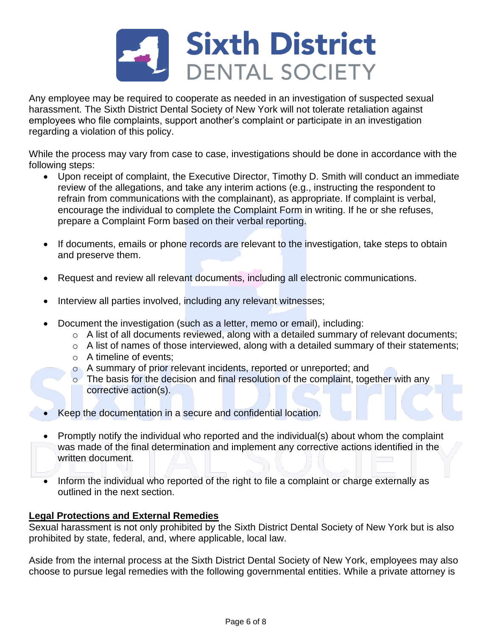

Any employee may be required to cooperate as needed in an investigation of suspected sexual harassment. The Sixth District Dental Society of New York will not tolerate retaliation against employees who file complaints, support another's complaint or participate in an investigation regarding a violation of this policy.

While the process may vary from case to case, investigations should be done in accordance with the following steps:

- Upon receipt of complaint, the Executive Director, Timothy D. Smith will conduct an immediate review of the allegations, and take any interim actions (e.g., instructing the respondent to refrain from communications with the complainant), as appropriate. If complaint is verbal, encourage the individual to complete the Complaint Form in writing. If he or she refuses, prepare a Complaint Form based on their verbal reporting.
- If documents, emails or phone records are relevant to the investigation, take steps to obtain and preserve them.
- Request and review all relevant documents, including all electronic communications.
- Interview all parties involved, including any relevant witnesses;
- Document the investigation (such as a letter, memo or email), including:
	- $\circ$  A list of all documents reviewed, along with a detailed summary of relevant documents;
	- $\circ$  A list of names of those interviewed, along with a detailed summary of their statements;
	- o A timeline of events;
	- o A summary of prior relevant incidents, reported or unreported; and
	- $\circ$  The basis for the decision and final resolution of the complaint, together with any corrective action(s).
- Keep the documentation in a secure and confidential location.
- Promptly notify the individual who reported and the individual(s) about whom the complaint was made of the final determination and implement any corrective actions identified in the written document.
- Inform the individual who reported of the right to file a complaint or charge externally as outlined in the next section.

### **Legal Protections and External Remedies**

Sexual harassment is not only prohibited by the Sixth District Dental Society of New York but is also prohibited by state, federal, and, where applicable, local law.

Aside from the internal process at the Sixth District Dental Society of New York, employees may also choose to pursue legal remedies with the following governmental entities. While a private attorney is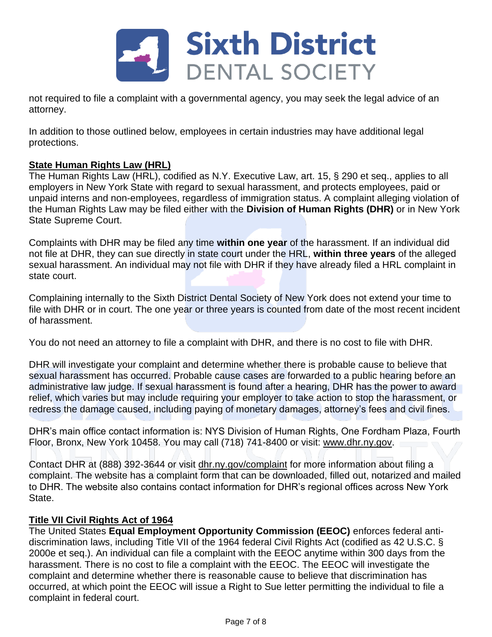

not required to file a complaint with a governmental agency, you may seek the legal advice of an attorney.

In addition to those outlined below, employees in certain industries may have additional legal protections.

# **State Human Rights Law (HRL)**

The Human Rights Law (HRL), codified as N.Y. Executive Law, art. 15, § 290 et seq., applies to all employers in New York State with regard to sexual harassment, and protects employees, paid or unpaid interns and non-employees, regardless of immigration status. A complaint alleging violation of the Human Rights Law may be filed either with the **Division of Human Rights (DHR)** or in New York State Supreme Court.

Complaints with DHR may be filed any time **within one year** of the harassment. If an individual did not file at DHR, they can sue directly in state court under the HRL, **within three years** of the alleged sexual harassment. An individual may not file with DHR if they have already filed a HRL complaint in state court.

Complaining internally to the Sixth District Dental Society of New York does not extend your time to file with DHR or in court. The one year or three years is counted from date of the most recent incident of harassment.

You do not need an attorney to file a complaint with DHR, and there is no cost to file with DHR.

DHR will investigate your complaint and determine whether there is probable cause to believe that sexual harassment has occurred. Probable cause cases are forwarded to a public hearing before an administrative law judge. If sexual harassment is found after a hearing, DHR has the power to award relief, which varies but may include requiring your employer to take action to stop the harassment, or redress the damage caused, including paying of monetary damages, attorney's fees and civil fines.

DHR's main office contact information is: NYS Division of Human Rights, One Fordham Plaza, Fourth Floor, Bronx, New York 10458. You may call (718) 741-8400 or visit: [www.dhr.ny.gov.](http://www.dhr.ny.gov/)

Contact DHR at (888) 392-3644 or visit [dhr.ny.gov/complaint](https://dhr.ny.gov/complaint) for more information about filing a complaint. The website has a complaint form that can be downloaded, filled out, notarized and mailed to DHR. The website also contains contact information for DHR's regional offices across New York State.

### **Title VII Civil Rights Act of 1964**

The United States **Equal Employment Opportunity Commission (EEOC)** enforces federal antidiscrimination laws, including Title VII of the 1964 federal Civil Rights Act (codified as 42 U.S.C. § 2000e et seq.). An individual can file a complaint with the EEOC anytime within 300 days from the harassment. There is no cost to file a complaint with the EEOC. The EEOC will investigate the complaint and determine whether there is reasonable cause to believe that discrimination has occurred, at which point the EEOC will issue a Right to Sue letter permitting the individual to file a complaint in federal court.